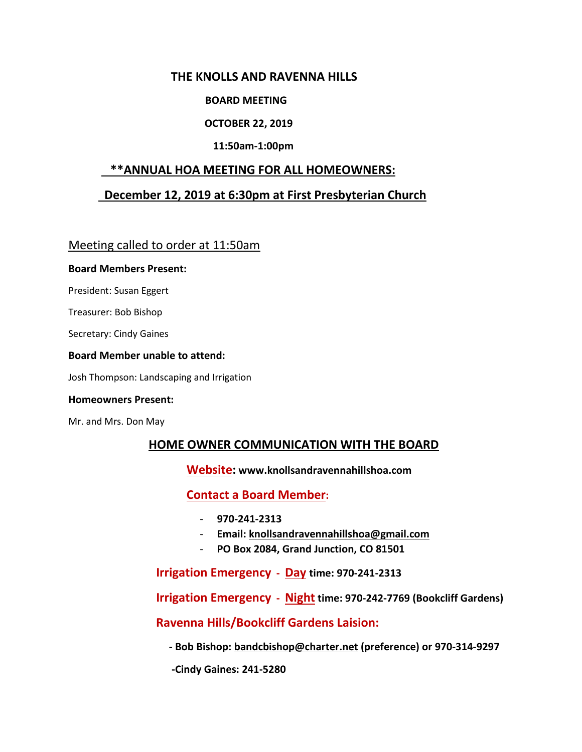## **THE KNOLLS AND RAVENNA HILLS**

### **BOARD MEETING**

### **OCTOBER 22, 2019**

### **11:50am-1:00pm**

## **\*\*ANNUAL HOA MEETING FOR ALL HOMEOWNERS:**

## **December 12, 2019 at 6:30pm at First Presbyterian Church**

Meeting called to order at 11:50am

#### **Board Members Present:**

President: Susan Eggert

Treasurer: Bob Bishop

Secretary: Cindy Gaines

#### **Board Member unable to attend:**

Josh Thompson: Landscaping and Irrigation

#### **Homeowners Present:**

Mr. and Mrs. Don May

## **HOME OWNER COMMUNICATION WITH THE BOARD**

 **Website: [www.knollsandr](http://www.knollsand/)avennahillshoa.com** 

## **Contact a Board Member:**

- **970-241-2313**
- **Email: [knollsandravennahillshoa@gmail.com](mailto:knollsandravennahillshoa@gmail.com)**
- **PO Box 2084, Grand Junction, CO 81501**

 **Irrigation Emergency - Day time: 970-241-2313**

 **Irrigation Emergency - Night time: 970-242-7769 (Bookcliff Gardens)**

 **Ravenna Hills/Bookcliff Gardens Laision:**

 **- Bob Bishop: [bandcbishop@charter.net](mailto:bandcbishop@charter.net) (preference) or 970-314-9297**

 **-Cindy Gaines: 241-5280**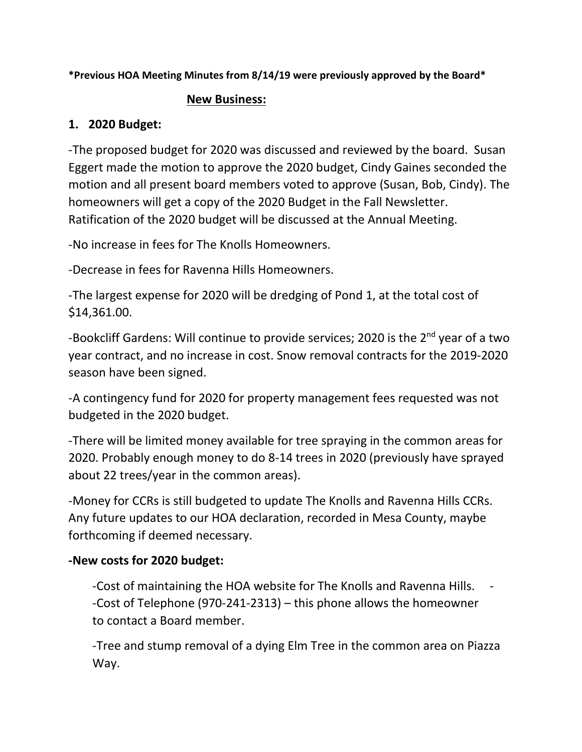**\*Previous HOA Meeting Minutes from 8/14/19 were previously approved by the Board\***

## **New Business:**

# **1. 2020 Budget:**

-The proposed budget for 2020 was discussed and reviewed by the board. Susan Eggert made the motion to approve the 2020 budget, Cindy Gaines seconded the motion and all present board members voted to approve (Susan, Bob, Cindy). The homeowners will get a copy of the 2020 Budget in the Fall Newsletter. Ratification of the 2020 budget will be discussed at the Annual Meeting.

-No increase in fees for The Knolls Homeowners.

-Decrease in fees for Ravenna Hills Homeowners.

-The largest expense for 2020 will be dredging of Pond 1, at the total cost of \$14,361.00.

-Bookcliff Gardens: Will continue to provide services; 2020 is the 2<sup>nd</sup> year of a two year contract, and no increase in cost. Snow removal contracts for the 2019-2020 season have been signed.

-A contingency fund for 2020 for property management fees requested was not budgeted in the 2020 budget.

-There will be limited money available for tree spraying in the common areas for 2020. Probably enough money to do 8-14 trees in 2020 (previously have sprayed about 22 trees/year in the common areas).

-Money for CCRs is still budgeted to update The Knolls and Ravenna Hills CCRs. Any future updates to our HOA declaration, recorded in Mesa County, maybe forthcoming if deemed necessary.

# **-New costs for 2020 budget:**

-Cost of maintaining the HOA website for The Knolls and Ravenna Hills. - -Cost of Telephone (970-241-2313) – this phone allows the homeowner to contact a Board member.

-Tree and stump removal of a dying Elm Tree in the common area on Piazza Way.